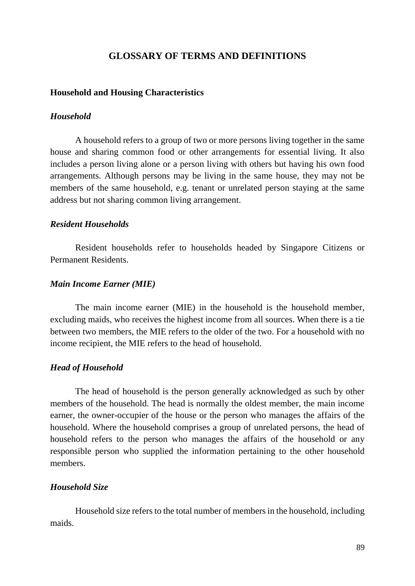# **GLOSSARY OF TERMS AND DEFINITIONS**

#### **Household and Housing Characteristics**

#### *Household*

A household refers to a group of two or more persons living together in the same house and sharing common food or other arrangements for essential living. It also includes a person living alone or a person living with others but having his own food arrangements. Although persons may be living in the same house, they may not be members of the same household, e.g. tenant or unrelated person staying at the same address but not sharing common living arrangement.

#### *Resident Households*

Resident households refer to households headed by Singapore Citizens or Permanent Residents.

#### *Main Income Earner (MIE)*

The main income earner (MIE) in the household is the household member, excluding maids, who receives the highest income from all sources. When there is a tie between two members, the MIE refers to the older of the two. For a household with no income recipient, the MIE refers to the head of household.

#### *Head of Household*

The head of household is the person generally acknowledged as such by other members of the household. The head is normally the oldest member, the main income earner, the owner-occupier of the house or the person who manages the affairs of the household. Where the household comprises a group of unrelated persons, the head of household refers to the person who manages the affairs of the household or any responsible person who supplied the information pertaining to the other household members.

#### *Household Size*

Household size refers to the total number of members in the household, including maids.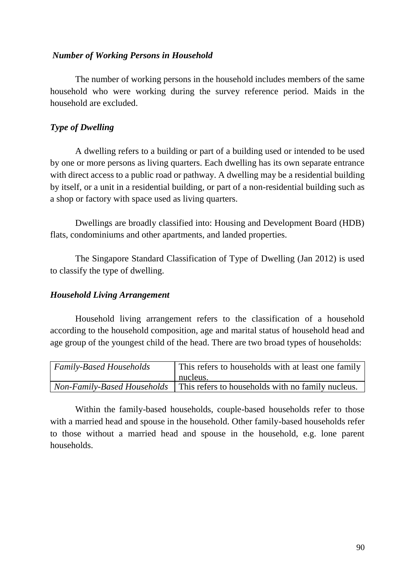# *Number of Working Persons in Household*

The number of working persons in the household includes members of the same household who were working during the survey reference period. Maids in the household are excluded.

# *Type of Dwelling*

A dwelling refers to a building or part of a building used or intended to be used by one or more persons as living quarters. Each dwelling has its own separate entrance with direct access to a public road or pathway. A dwelling may be a residential building by itself, or a unit in a residential building, or part of a non-residential building such as a shop or factory with space used as living quarters.

Dwellings are broadly classified into: Housing and Development Board (HDB) flats, condominiums and other apartments, and landed properties.

The Singapore Standard Classification of Type of Dwelling (Jan 2012) is used to classify the type of dwelling.

# *Household Living Arrangement*

Household living arrangement refers to the classification of a household according to the household composition, age and marital status of household head and age group of the youngest child of the head. There are two broad types of households:

| <b>Family-Based Households</b> | This refers to households with at least one family                                     |
|--------------------------------|----------------------------------------------------------------------------------------|
|                                | nucleus.                                                                               |
|                                | <i>Non-Family-Based Households</i>   This refers to households with no family nucleus. |

Within the family-based households, couple-based households refer to those with a married head and spouse in the household. Other family-based households refer to those without a married head and spouse in the household, e.g. lone parent households.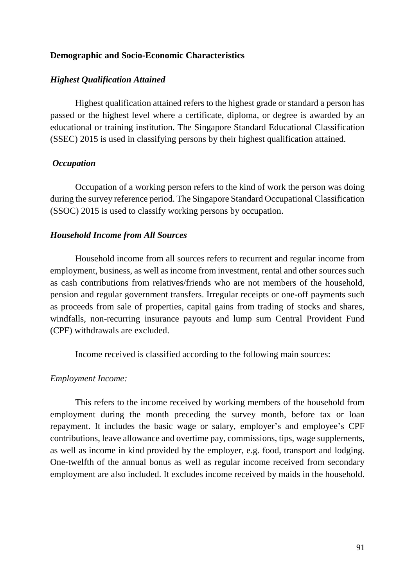### **Demographic and Socio-Economic Characteristics**

#### *Highest Qualification Attained*

Highest qualification attained refers to the highest grade or standard a person has passed or the highest level where a certificate, diploma, or degree is awarded by an educational or training institution. The Singapore Standard Educational Classification (SSEC) 2015 is used in classifying persons by their highest qualification attained.

#### *Occupation*

Occupation of a working person refers to the kind of work the person was doing during the survey reference period. The Singapore Standard Occupational Classification (SSOC) 2015 is used to classify working persons by occupation.

#### *Household Income from All Sources*

Household income from all sources refers to recurrent and regular income from employment, business, as well as income from investment, rental and other sources such as cash contributions from relatives/friends who are not members of the household, pension and regular government transfers. Irregular receipts or one-off payments such as proceeds from sale of properties, capital gains from trading of stocks and shares, windfalls, non-recurring insurance payouts and lump sum Central Provident Fund (CPF) withdrawals are excluded.

Income received is classified according to the following main sources:

#### *Employment Income:*

This refers to the income received by working members of the household from employment during the month preceding the survey month, before tax or loan repayment. It includes the basic wage or salary, employer's and employee's CPF contributions, leave allowance and overtime pay, commissions, tips, wage supplements, as well as income in kind provided by the employer, e.g. food, transport and lodging. One-twelfth of the annual bonus as well as regular income received from secondary employment are also included. It excludes income received by maids in the household.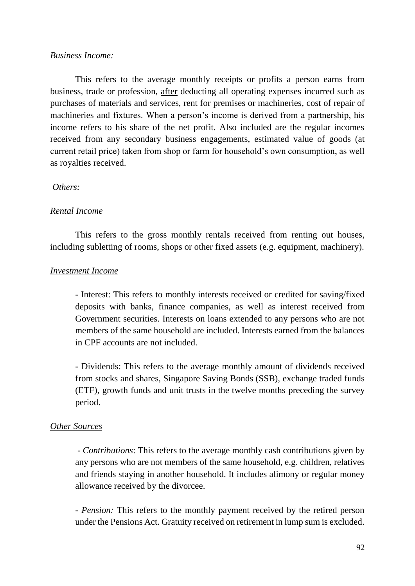### *Business Income:*

This refers to the average monthly receipts or profits a person earns from business, trade or profession, after deducting all operating expenses incurred such as purchases of materials and services, rent for premises or machineries, cost of repair of machineries and fixtures. When a person's income is derived from a partnership, his income refers to his share of the net profit. Also included are the regular incomes received from any secondary business engagements, estimated value of goods (at current retail price) taken from shop or farm for household's own consumption, as well as royalties received.

### *Others:*

### *Rental Income*

This refers to the gross monthly rentals received from renting out houses, including subletting of rooms, shops or other fixed assets (e.g. equipment, machinery).

# *Investment Income*

- Interest: This refers to monthly interests received or credited for saving/fixed deposits with banks, finance companies, as well as interest received from Government securities. Interests on loans extended to any persons who are not members of the same household are included. Interests earned from the balances in CPF accounts are not included.

- Dividends: This refers to the average monthly amount of dividends received from stocks and shares, Singapore Saving Bonds (SSB), exchange traded funds (ETF), growth funds and unit trusts in the twelve months preceding the survey period.

### *Other Sources*

*- Contributions*: This refers to the average monthly cash contributions given by any persons who are not members of the same household, e.g. children, relatives and friends staying in another household. It includes alimony or regular money allowance received by the divorcee.

*- Pension:* This refers to the monthly payment received by the retired person under the Pensions Act. Gratuity received on retirement in lump sum is excluded.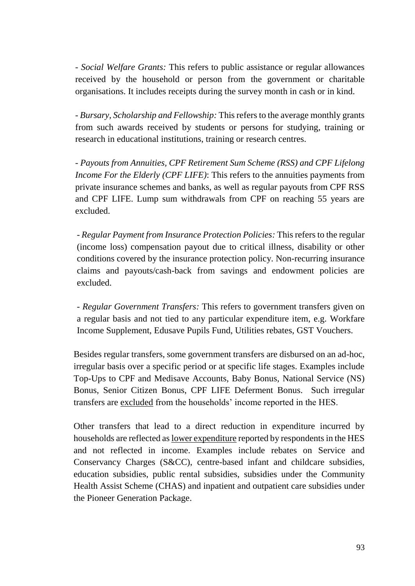*- Social Welfare Grants:* This refers to public assistance or regular allowances received by the household or person from the government or charitable organisations. It includes receipts during the survey month in cash or in kind.

*- Bursary, Scholarship and Fellowship:* This refers to the average monthly grants from such awards received by students or persons for studying, training or research in educational institutions, training or research centres.

*- Payouts from Annuities, CPF Retirement Sum Scheme (RSS) and CPF Lifelong Income For the Elderly (CPF LIFE)*: This refers to the annuities payments from private insurance schemes and banks, as well as regular payouts from CPF RSS and CPF LIFE. Lump sum withdrawals from CPF on reaching 55 years are excluded.

*- Regular Payment from Insurance Protection Policies:* This refers to the regular (income loss) compensation payout due to critical illness, disability or other conditions covered by the insurance protection policy. Non-recurring insurance claims and payouts/cash-back from savings and endowment policies are excluded.

*- Regular Government Transfers:* This refers to government transfers given on a regular basis and not tied to any particular expenditure item, e.g. Workfare Income Supplement, Edusave Pupils Fund, Utilities rebates, GST Vouchers.

Besides regular transfers, some government transfers are disbursed on an ad-hoc, irregular basis over a specific period or at specific life stages. Examples include Top-Ups to CPF and Medisave Accounts, Baby Bonus, National Service (NS) Bonus, Senior Citizen Bonus, CPF LIFE Deferment Bonus. Such irregular transfers are excluded from the households' income reported in the HES.

Other transfers that lead to a direct reduction in expenditure incurred by households are reflected as lower expenditure reported by respondents in the HES and not reflected in income. Examples include rebates on Service and Conservancy Charges (S&CC), centre-based infant and childcare subsidies, education subsidies, public rental subsidies, subsidies under the Community Health Assist Scheme (CHAS) and inpatient and outpatient care subsidies under the Pioneer Generation Package.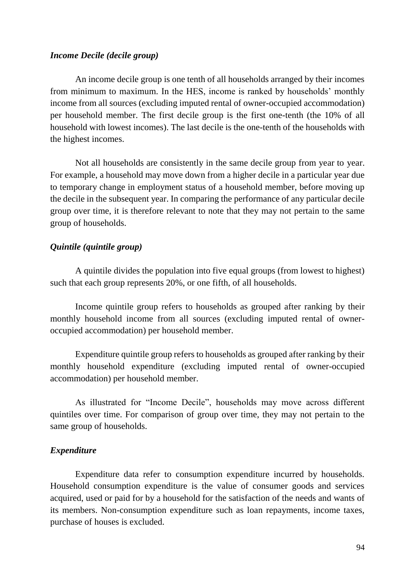### *Income Decile (decile group)*

An income decile group is one tenth of all households arranged by their incomes from minimum to maximum. In the HES, income is ranked by households' monthly income from all sources (excluding imputed rental of owner-occupied accommodation) per household member. The first decile group is the first one-tenth (the 10% of all household with lowest incomes). The last decile is the one-tenth of the households with the highest incomes.

Not all households are consistently in the same decile group from year to year. For example, a household may move down from a higher decile in a particular year due to temporary change in employment status of a household member, before moving up the decile in the subsequent year. In comparing the performance of any particular decile group over time, it is therefore relevant to note that they may not pertain to the same group of households.

# *Quintile (quintile group)*

A quintile divides the population into five equal groups (from lowest to highest) such that each group represents 20%, or one fifth, of all households.

Income quintile group refers to households as grouped after ranking by their monthly household income from all sources (excluding imputed rental of owneroccupied accommodation) per household member.

Expenditure quintile group refers to households as grouped after ranking by their monthly household expenditure (excluding imputed rental of owner-occupied accommodation) per household member.

As illustrated for "Income Decile", households may move across different quintiles over time. For comparison of group over time, they may not pertain to the same group of households.

### *Expenditure*

Expenditure data refer to consumption expenditure incurred by households. Household consumption expenditure is the value of consumer goods and services acquired, used or paid for by a household for the satisfaction of the needs and wants of its members. Non-consumption expenditure such as loan repayments, income taxes, purchase of houses is excluded.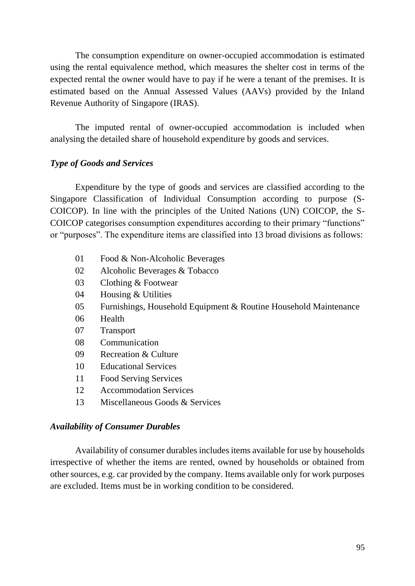The consumption expenditure on owner-occupied accommodation is estimated using the rental equivalence method, which measures the shelter cost in terms of the expected rental the owner would have to pay if he were a tenant of the premises. It is estimated based on the Annual Assessed Values (AAVs) provided by the Inland Revenue Authority of Singapore (IRAS).

The imputed rental of owner-occupied accommodation is included when analysing the detailed share of household expenditure by goods and services.

# *Type of Goods and Services*

Expenditure by the type of goods and services are classified according to the Singapore Classification of Individual Consumption according to purpose (S-COICOP). In line with the principles of the United Nations (UN) COICOP, the S-COICOP categorises consumption expenditures according to their primary "functions" or "purposes". The expenditure items are classified into 13 broad divisions as follows:

- 01 Food & Non-Alcoholic Beverages
- 02 Alcoholic Beverages & Tobacco
- 03 Clothing & Footwear
- 04 Housing & Utilities
- 05 Furnishings, Household Equipment & Routine Household Maintenance
- 06 Health
- 07 Transport
- 08 Communication
- 09 Recreation & Culture
- 10 Educational Services
- 11 Food Serving Services
- 12 Accommodation Services
- 13 Miscellaneous Goods & Services

### *Availability of Consumer Durables*

Availability of consumer durables includes items available for use by households irrespective of whether the items are rented, owned by households or obtained from other sources, e.g. car provided by the company. Items available only for work purposes are excluded. Items must be in working condition to be considered.